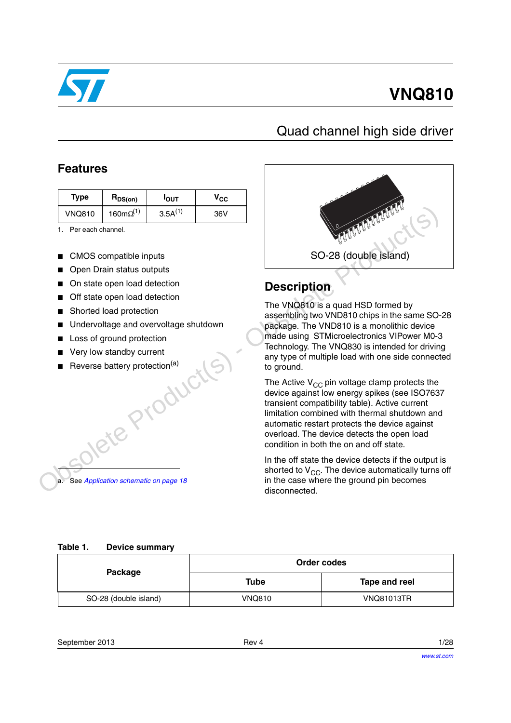

## **VNQ810**

### Quad channel high side driver

### **Features**

| Type          | $R_{DS(on)}$        | <b>I</b> OUT | $\mathsf{v}_{\mathsf{cc}}$ |
|---------------|---------------------|--------------|----------------------------|
| <b>VNQ810</b> | 160m $\Omega^{(1)}$ | $3.5A^{(1)}$ | 36V                        |

1. Per each channel.

- CMOS compatible inputs
- Open Drain status outputs
- On state open load detection
- Off state open load detection
- Shorted load protection
- Undervoltage and overvoltage shutdown
- Loss of ground protection
- Very low standby current
- Reverse battery protection<sup>(a)</sup> Jete Product(s)

See *Application schematic on page 18* 



### **Description**

The VNQ810 is a quad HSD formed by assembling two VND810 chips in the same SO-28 package. The VND810 is a monolithic device made using STMicroelectronics VIPower M0-3 Technology. The VNQ830 is intended for driving any type of multiple load with one side connected to ground.

The Active  $V_{CC}$  pin voltage clamp protects the device against low energy spikes (see ISO7637 transient compatibility table). Active current limitation combined with thermal shutdown and automatic restart protects the device against overload. The device detects the open load condition in both the on and off state.

In the off state the device detects if the output is shorted to  $V_{CC}$ . The device automatically turns off in the case where the ground pin becomes disconnected.

#### <span id="page-0-0"></span>**Table 1. Device summary**

| Package               | Order codes   |                   |  |  |
|-----------------------|---------------|-------------------|--|--|
|                       | Tube          | Tape and reel     |  |  |
| SO-28 (double island) | <b>VNQ810</b> | <b>VNQ81013TR</b> |  |  |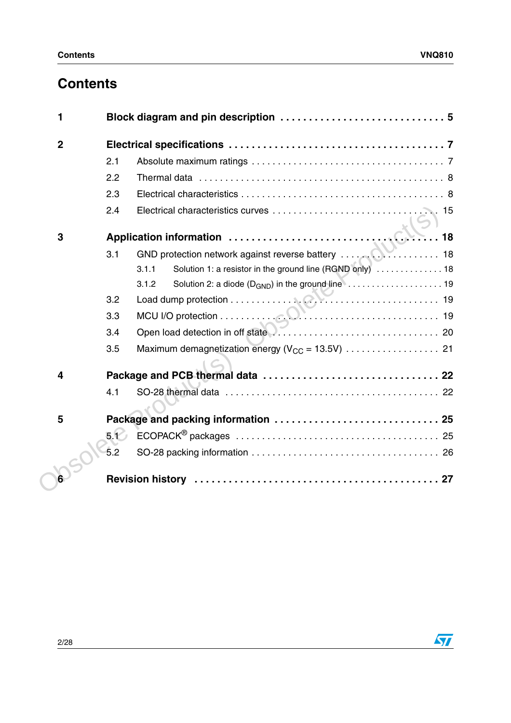## **Contents**

| 2.1  |       |                                                                                                                                                                |
|------|-------|----------------------------------------------------------------------------------------------------------------------------------------------------------------|
| 2.2  |       |                                                                                                                                                                |
| 2.3  |       |                                                                                                                                                                |
| 2.4  |       |                                                                                                                                                                |
|      |       |                                                                                                                                                                |
| 3.1  |       |                                                                                                                                                                |
|      | 3.1.1 |                                                                                                                                                                |
|      | 3.1.2 |                                                                                                                                                                |
| 3.2  |       |                                                                                                                                                                |
| 3.3  |       |                                                                                                                                                                |
| 3.4  |       |                                                                                                                                                                |
| 3.5  |       |                                                                                                                                                                |
|      |       |                                                                                                                                                                |
| 4.1  |       |                                                                                                                                                                |
|      |       |                                                                                                                                                                |
| 5.12 |       |                                                                                                                                                                |
| 5.2  |       |                                                                                                                                                                |
|      |       |                                                                                                                                                                |
|      |       | Solution 1: a resistor in the ground line (RGND only)  18<br>Solution 2: a diode $(D_{GND})$ in the ground line $\ldots \ldots \ldots \ldots \ldots \ldots$ 19 |

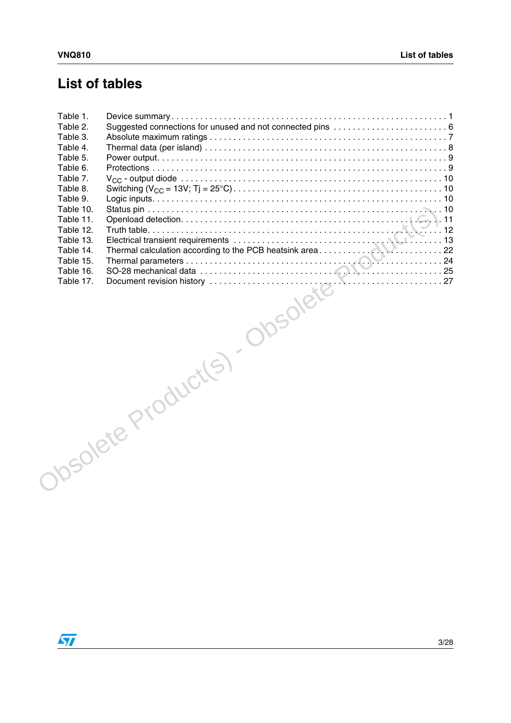### **List of tables**

| Table 1. |                         |  |
|----------|-------------------------|--|
| Table 2. |                         |  |
| Table 3. |                         |  |
|          |                         |  |
|          |                         |  |
|          |                         |  |
|          |                         |  |
|          |                         |  |
|          |                         |  |
|          |                         |  |
|          |                         |  |
|          |                         |  |
|          |                         |  |
|          |                         |  |
|          |                         |  |
|          |                         |  |
|          | Obsolute Production (S) |  |
|          |                         |  |

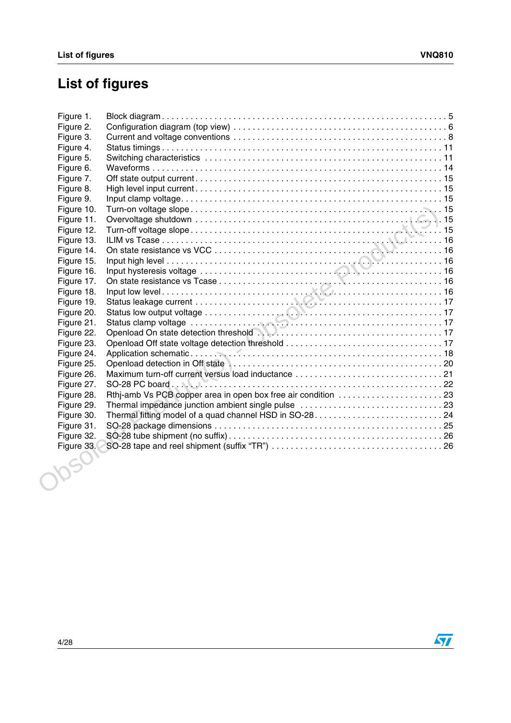## **List of figures**

| Figure 1.  |                                                    |  |
|------------|----------------------------------------------------|--|
| Figure 2.  |                                                    |  |
| Figure 3.  |                                                    |  |
| Figure 4.  |                                                    |  |
| Figure 5.  |                                                    |  |
| Figure 6.  |                                                    |  |
| Figure 7.  |                                                    |  |
| Figure 8.  |                                                    |  |
| Figure 9.  |                                                    |  |
| Figure 10. |                                                    |  |
| Figure 11. |                                                    |  |
| Figure 12. |                                                    |  |
| Figure 13. |                                                    |  |
| Figure 14. |                                                    |  |
| Figure 15. |                                                    |  |
| Figure 16. |                                                    |  |
| Figure 17. |                                                    |  |
| Figure 18. |                                                    |  |
| Figure 19. |                                                    |  |
| Figure 20. |                                                    |  |
| Figure 21. |                                                    |  |
| Figure 22. |                                                    |  |
| Figure 23. |                                                    |  |
| Figure 24. |                                                    |  |
| Figure 25. |                                                    |  |
| Figure 26. |                                                    |  |
| Figure 27. |                                                    |  |
| Figure 28. |                                                    |  |
| Figure 29. | Thermal impedance junction ambient single pulse 23 |  |
| Figure 30. |                                                    |  |
| Figure 31. |                                                    |  |
| Figure 32. |                                                    |  |
| Figure 33. |                                                    |  |
|            |                                                    |  |
|            |                                                    |  |
|            |                                                    |  |
|            |                                                    |  |
|            |                                                    |  |
|            |                                                    |  |
|            |                                                    |  |

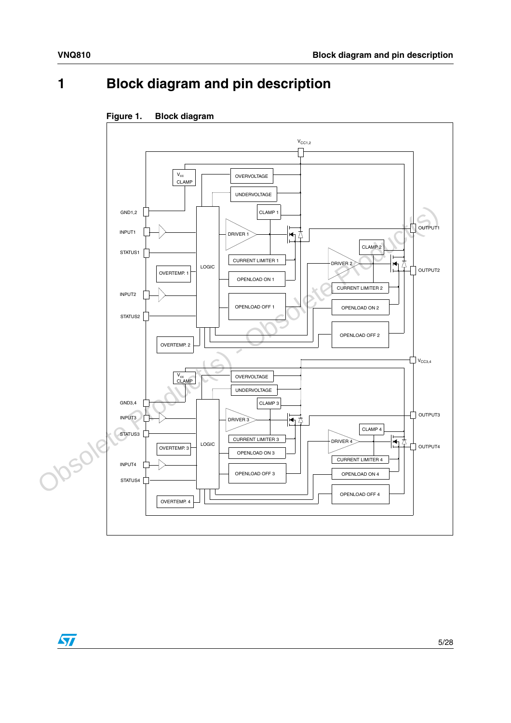# <span id="page-4-0"></span>**1 Block diagram and pin description**



### <span id="page-4-1"></span>**Figure 1. Block diagram**

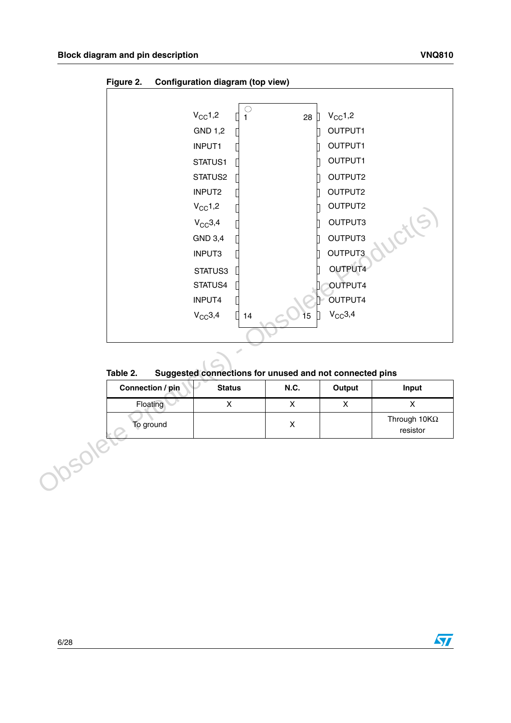

<span id="page-5-1"></span>**Figure 2. Configuration diagram (top view)**

<span id="page-5-0"></span>

| Table 2. | Suggested connections for unused and not connected pins |
|----------|---------------------------------------------------------|
|----------|---------------------------------------------------------|

| Connection / pin | <b>Status</b> | <b>N.C.</b> | Output | Input                           |
|------------------|---------------|-------------|--------|---------------------------------|
| Floating         |               |             |        |                                 |
| To ground        |               |             |        | Through $10K\Omega$<br>resistor |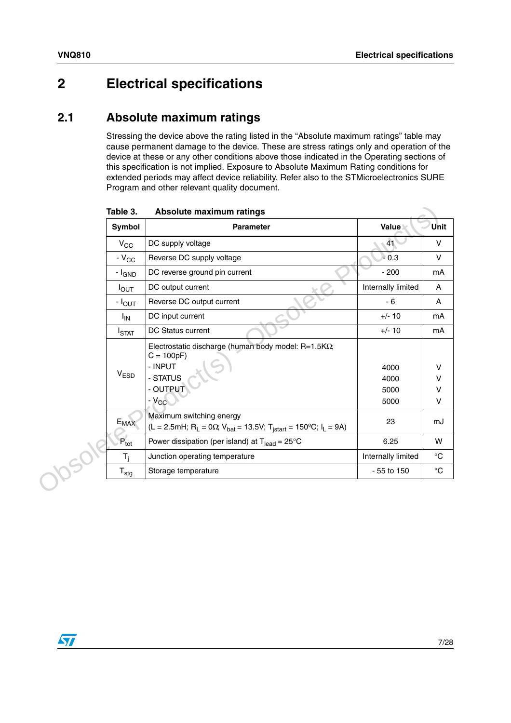### <span id="page-6-0"></span>**2 Electrical specifications**

### <span id="page-6-1"></span>**2.1 Absolute maximum ratings**

Stressing the device above the rating listed in the "Absolute maximum ratings" table may cause permanent damage to the device. These are stress ratings only and operation of the device at these or any other conditions above those indicated in the Operating sections of this specification is not implied. Exposure to Absolute Maximum Rating conditions for extended periods may affect device reliability. Refer also to the STMicroelectronics SURE Program and other relevant quality document.

| Table 3.<br>Symbol                                  | Absolute maximum ratings<br><b>Parameter</b>                                                                                                          | Value                        | Unit             |
|-----------------------------------------------------|-------------------------------------------------------------------------------------------------------------------------------------------------------|------------------------------|------------------|
| $V_{CC}$                                            | DC supply voltage                                                                                                                                     | 41                           | V                |
| $-V_{CC}$                                           | Reverse DC supply voltage                                                                                                                             | $-0.3$                       | V                |
| DC reverse ground pin current<br>- I <sub>GND</sub> |                                                                                                                                                       | $-200$                       | mA               |
| $I_{OUT}$                                           | DC output current                                                                                                                                     | Internally limited           | A                |
| - I <sub>OUT</sub>                                  | Reverse DC output current                                                                                                                             | $-6$                         | A                |
| <sup>I</sup> IN                                     | DC input current                                                                                                                                      | $+/- 10$                     | mA               |
| I <sub>STAT</sub>                                   | DC Status current                                                                                                                                     | $+/- 10$                     | mA               |
| <b>VESD</b>                                         | Electrostatic discharge (human body model: $R=1.5K\Omega$ ;<br>$C = 100pF$<br>- INPUT<br>- STATUS<br>- OUTPUT<br>$-V_{CC}$                            | 4000<br>4000<br>5000<br>5000 | V<br>V<br>V<br>v |
| $E_{MAX}$                                           | Maximum switching energy<br>(L = 2.5mH; R <sub>L</sub> = 0Ω; V <sub>bat</sub> = 13.5V; T <sub>jstart</sub> = 150 <sup>o</sup> C; I <sub>L</sub> = 9A) | 23                           | mJ               |
| $P_{\text{tot}}$                                    | Power dissipation (per island) at $T_{lead} = 25^{\circ}C$                                                                                            | 6.25                         | W                |
| $T_j$                                               | Junction operating temperature                                                                                                                        | Internally limited           | $^{\circ}$ C     |
| $\mathsf{T}_{\text{stg}}$                           | Storage temperature                                                                                                                                   | - 55 to 150                  | $^{\circ}$ C     |

<span id="page-6-2"></span>**Table 3. Absolute maximum ratings**

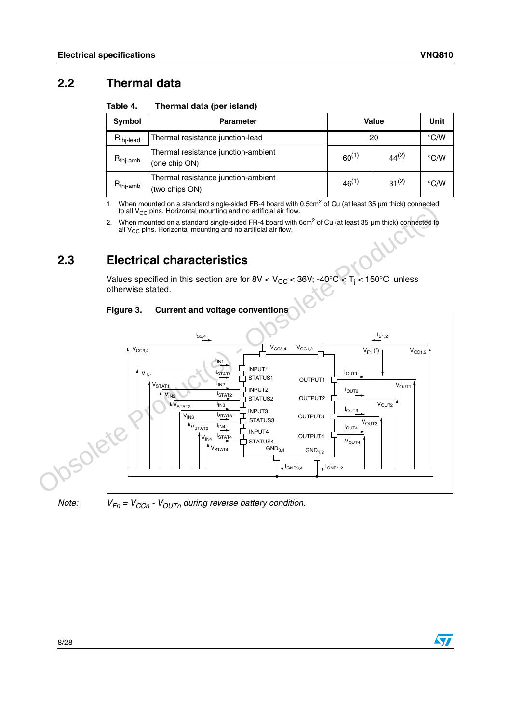### <span id="page-7-0"></span>**2.2 Thermal data**

<span id="page-7-2"></span>Table 4. **Thermal data (per island)** 

| Symbol               | Value<br><b>Parameter</b>                             |            |               | Unit          |
|----------------------|-------------------------------------------------------|------------|---------------|---------------|
| $R_{\text{th}$ -lead | Thermal resistance junction-lead                      | 20         | $\degree$ C/W |               |
| $R_{\text{thj-amb}}$ | Thermal resistance junction-ambient<br>(one chip ON)  | $60^{(1)}$ | $44^{(2)}$    | $\degree$ C/W |
| $R_{thj-amb}$        | Thermal resistance junction-ambient<br>(two chips ON) | $46^{(1)}$ | $31^{(2)}$    | $\degree$ C/W |

1. When mounted on a standard single-sided FR-4 board with 0.5cm<sup>2</sup> of Cu (at least 35  $\mu$ m thick) connected to all V $_{\rm CC}$  pins. Horizontal mounting and no artificial air flow.

2. When mounted on a standard single-sided FR-4 board with 6cm<sup>2</sup> of Cu (at least 35 µm thick) connected to all  $\rm V_{CC}$  pins. Horizontal mounting and no artificial air flow.

### <span id="page-7-1"></span>**2.3 Electrical characteristics**

Values specified in this section are for 8V < V<sub>CC</sub> < 36V; -40°C < T<sub>j</sub> < 150°C, unless otherwise stated.

<span id="page-7-3"></span>





*Note:*  $V_{Fn} = V_{CCn} - V_{OUTn}$  *during reverse battery condition.*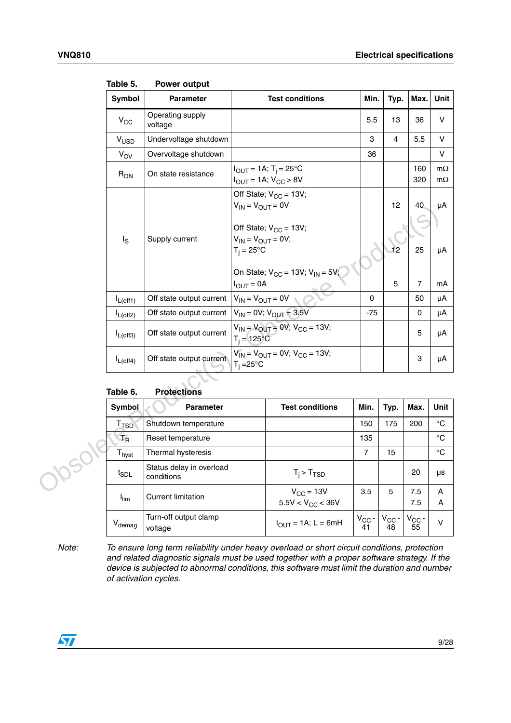| <b>Symbol</b>             | <b>Parameter</b>                       | <b>Test conditions</b>                                                                                            | Min.             | Typ.                          | Max.                 | Unit                   |
|---------------------------|----------------------------------------|-------------------------------------------------------------------------------------------------------------------|------------------|-------------------------------|----------------------|------------------------|
| $V_{CC}$                  | Operating supply<br>voltage            |                                                                                                                   | 5.5              | 13                            | 36                   | V                      |
| V <sub>USD</sub>          | Undervoltage shutdown                  |                                                                                                                   | 3                | 4                             | 5.5                  | V                      |
| $V_{OV}$                  | Overvoltage shutdown                   |                                                                                                                   | 36               |                               |                      | V                      |
| $R_{ON}$                  | On state resistance                    | $I_{OUT} = 1A; T_i = 25°C$<br>$I_{OUT} = 1A; V_{CC} > 8V$                                                         |                  |                               | 160<br>320           | $m\Omega$<br>$m\Omega$ |
| $I_{\rm S}$               | Supply current                         | Off State; $V_{CC} = 13V$ ;<br>$V_{IN} = V_{OUT} = 0V$<br>Off State; $V_{CC} = 13V$ ;<br>$V_{IN} = V_{OUT} = 0V;$ |                  | 12                            | 40                   | μA                     |
|                           |                                        | $T_i = 25^{\circ}C$<br>On State; $V_{CC} = 13V; V_{IN} = 5V;$<br>$I_{OUT} = 0A$                                   |                  | 12<br>5                       | 25<br>$\overline{7}$ | μA<br>mA               |
| $I_{L(off1)}$             | Off state output current               | $V_{IN} = V_{OUT} = 0V$                                                                                           | 0                |                               | 50                   | μA                     |
| $I_{L(off2)}$             | Off state output current               | $V_{IN} = 0V$ ; $V_{OUT} = 3.5V$                                                                                  | $-75$            |                               | 0                    | μA                     |
| $I_{L(off3)}$             | Off state output current               | $V_{IN} = V_{OUT} = 0V$ ; $V_{CC} = 13V$ ;<br>$T_i = 125^{\circ}C$                                                |                  |                               | 5                    | μA                     |
| $I_{L(off4)}$             | Off state output current               | $V_{IN} = V_{OUT} = 0V$ ; $V_{CC} = 13V$ ;<br>$T_i = 25^\circ C$                                                  |                  |                               | 3                    | μA                     |
| Table 6.                  | <b>Protections</b>                     |                                                                                                                   |                  |                               |                      |                        |
| <b>Symbol</b>             | Parameter                              | <b>Test conditions</b>                                                                                            | Min.             | Typ.                          | Max.                 | Unit                   |
| T <sub>TSD</sub>          | Shutdown temperature                   |                                                                                                                   | 150              | 175                           | 200                  | $^\circ \text{C}$      |
| $T_R$                     | Reset temperature                      |                                                                                                                   | 135              |                               |                      | °C                     |
| T <sub>hyst</sub>         | Thermal hysteresis                     |                                                                                                                   | $\overline{7}$   | 15                            |                      | $^{\circ}$ C           |
| <b>YOSON</b><br>$t_{SDL}$ | Status delay in overload<br>conditions | $T_i$ > $T_{TSD}$                                                                                                 |                  |                               | 20                   | μs                     |
| $I_{\text{lim}}$          | <b>Current limitation</b>              | $V_{CC}$ = 13V<br>$5.5V < V_{CC} < 36V$                                                                           | 3.5              | 5                             | 7.5<br>7.5           | Α<br>A                 |
| $V_{demag}$               | Turn-off output clamp<br>voltage       | $I_{OUT} = 1A$ ; L = 6mH                                                                                          | $V_{CC}$ -<br>41 | $V_{CC}$ -<br>$\overline{48}$ | $V_{CC}$ -<br>55     | $\mathsf{V}$           |

<span id="page-8-0"></span>Table 5. **Power output** 

<span id="page-8-1"></span>

| Table 6. | <b>Protections</b> |
|----------|--------------------|
|          |                    |

| <b>Symbol</b>                 | <b>Parameter</b>                       | <b>Test conditions</b>                  | Min.             | Typ.             | Max.                 | Unit         |
|-------------------------------|----------------------------------------|-----------------------------------------|------------------|------------------|----------------------|--------------|
| $\mathsf{T}_{\mathsf{TSD}}$   | Shutdown temperature                   |                                         | 150              | 175              | 200                  | $^{\circ}$ C |
| $T_R$                         | Reset temperature                      |                                         | 135              |                  |                      | $^{\circ}C$  |
| $\mathsf{T}_{\mathsf{hyst}}$  | Thermal hysteresis                     |                                         | 7                | 15               |                      | $^{\circ}C$  |
| $t_{\scriptstyle\text{SDL}}$  | Status delay in overload<br>conditions | $T_i$ > $T_{TSD}$                       |                  |                  | 20                   | μs           |
| $I_{\text{lim}}$              | <b>Current limitation</b>              | $V_{CC}$ = 13V<br>5.5V < $V_{CC}$ < 36V | 3.5              | 5                | 7.5<br>7.5           | A<br>A       |
| $\mathsf{V}_{\mathsf{demag}}$ | Turn-off output clamp<br>voltage       | $I_{OUT} = 1A$ ; L = 6mH                | $V_{CC}$ -<br>41 | $V_{CC}$ -<br>48 | $V_{\rm CC}$ -<br>55 | v            |

*Note: To ensure long term reliability under heavy overload or short circuit conditions, protection and related diagnostic signals must be used together with a proper software strategy. If the device is subjected to abnormal conditions, this software must limit the duration and number of activation cycles.*

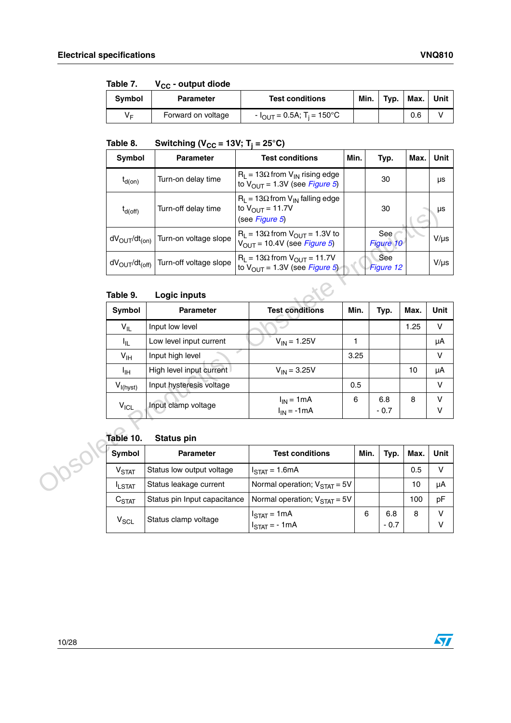| Table 7.      | <b>v</b> <sub>CC</sub> - output group |                                                   |      |      |      |      |
|---------------|---------------------------------------|---------------------------------------------------|------|------|------|------|
| <b>Symbol</b> | <b>Parameter</b>                      | <b>Test conditions</b>                            | Min. | Typ. | Max. | Unit |
| V⊧            | Forward on voltage                    | - I <sub>OUT</sub> = 0.5A; T <sub>i</sub> = 150°C |      |      | 0.6  |      |

#### <span id="page-9-0"></span>Table 7 **Table 7. VCC - output diode**

<span id="page-9-1"></span>Table 8.  $\textsf{Table 8.}\qquad \textsf{Switching}\ (\textsf{V}_{\textsf{CC}}\textsf{=}\textsf{13V};\ \textsf{T}_\textsf{j}\textsf{=}\textsf{25}^\circ \textsf{C})$ 

| Symbol                                 | <b>Parameter</b>       | <b>Test conditions</b>                                                                       | Min. | Typ.             | Max. | Unit      |
|----------------------------------------|------------------------|----------------------------------------------------------------------------------------------|------|------------------|------|-----------|
| $t_{d(on)}$                            | Turn-on delay time     | $R_1 = 13\Omega$ from $V_{1N}$ rising edge<br>to $V_{\text{OUT}}$ = 1.3V (see Figure 5)      |      | 30               |      | μs        |
| $t_{d(\text{off})}$                    | Turn-off delay time    | $R_1 = 13\Omega$ from $V_{1N}$ falling edge<br>to $V_{\text{OUT}} = 11.7V$<br>(see Figure 5) |      | 30               |      | μs        |
| $dV_{OUT}/dt_{(on)}$                   | Turn-on voltage slope  | $R_1 = 13\Omega$ from $V_{OUT} = 1.3V$ to<br>$V_{OUT}$ = 10.4V (see <i>Figure 5</i> )        |      | See<br>Figure 10 |      | $V/\mu s$ |
| dV <sub>OUT</sub> /dt <sub>(off)</sub> | Turn-off voltage slope | $R_1 = 13\Omega$ from $V_{OUT} = 11.7V$<br>to $V_{OUT}$ = 1.3V (see <i>Figure 5</i> )        |      | See<br>Figure 12 |      | $V/\mu s$ |
| Table 9.                               | Logic inputs           |                                                                                              |      |                  |      |           |

#### <span id="page-9-2"></span>Table 9. **Logic inputs**

| $t_{d(\text{off})}$                 | Turn-off delay time          | to $V_{OUIT}$ = 11.7V<br>(see Figure 5)                                                 |      | 30               |      | $\mu s$     |
|-------------------------------------|------------------------------|-----------------------------------------------------------------------------------------|------|------------------|------|-------------|
| $dV_{OUT}/dt_{(on)}$                | Turn-on voltage slope        | $R_1 = 13\Omega$ from $V_{OUT} = 1.3V$ to<br>$V_{OUT}$ = 10.4V (see Figure 5)           |      | See<br>Figure 10 |      | $V/\mu s$   |
| $dV_{\text{OUT}}/dt_{\text{(off)}}$ | Turn-off voltage slope       | $R_L$ = 13 $\Omega$ from $V_{OUT}$ = 11.7V<br>to $V_{\text{OUT}} = 1.3V$ (see Figure 5) |      | See<br>Figure 12 |      | $V/\mu s$   |
| Table 9.                            | Logic inputs                 |                                                                                         |      |                  |      |             |
| Symbol                              | <b>Parameter</b>             | <b>Test conditions</b>                                                                  | Min. | Typ.             | Max. | Unit        |
| $V_{IL}$                            | Input low level              |                                                                                         |      |                  | 1.25 | $\mathsf V$ |
| 址                                   | Low level input current      | $V_{IN} = 1.25V$                                                                        | 1.   |                  |      | μA          |
| $V_{\text{IH}}$                     | Input high level             |                                                                                         | 3.25 |                  |      | $\vee$      |
| ŀщ                                  | High level input current     | $V_{IN} = 3.25V$                                                                        |      |                  | 10   | μA          |
| $V_{I(hyst)}$                       | Input hysteresis voltage     |                                                                                         | 0.5  |                  |      | $\vee$      |
| $V_{ICL}$                           | Input clamp voltage          | $I_{IN} = 1mA$<br>$I_{IN} = -1mA$                                                       | 6    | 6.8<br>$-0.7$    | 8    | V<br>v      |
| Table 10.                           | <b>Status pin</b>            |                                                                                         |      |                  |      |             |
| Symbol                              | <b>Parameter</b>             | <b>Test conditions</b>                                                                  | Min. | Typ.             | Max. | Unit        |
| V <sub>STAT</sub>                   | Status low output voltage    | $ISTAT = 1.6mA$                                                                         |      |                  | 0.5  | $\vee$      |
| <b>ILSTAT</b>                       | Status leakage current       | Normal operation; $V_{\text{STAT}} = 5V$                                                |      |                  | 10   | μA          |
| $C_{\text{STAT}}$                   | Status pin Input capacitance | Normal operation; $V_{\text{STAT}} = 5V$                                                |      |                  | 100  | pF          |
| $\mathbf{v}$                        | Ctatus alamn valtage         | $ISTAT = 1mA$                                                                           | 6    | 6.8              | 8    | V           |

#### <span id="page-9-3"></span>**Table 10. Status pin**

| Symbol                     | <b>Parameter</b>             | <b>Test conditions</b>                                       | Min. | Typ.          | Max. | Unit |
|----------------------------|------------------------------|--------------------------------------------------------------|------|---------------|------|------|
| $\mathsf{v}_\mathsf{STAT}$ | Status low output voltage    | $I_{\text{STAT}}$ = 1.6mA                                    |      |               | 0.5  | v    |
| <b>ILSTAT</b>              | Status leakage current       | Normal operation; $V_{\text{STAT}} = 5V$                     |      |               | 10   | μA   |
| C <sub>STAT</sub>          | Status pin Input capacitance | Normal operation; $V_{\text{STAT}} = 5V$                     |      |               | 100  | pF   |
| $\mathsf{v}_{\sf SCL}$     | Status clamp voltage         | $I_{\text{STAT}} = 1 \text{mA}$<br>$I_{\text{STAT}}$ = - 1mA | 6    | 6.8<br>$-0.7$ | 8    | V    |

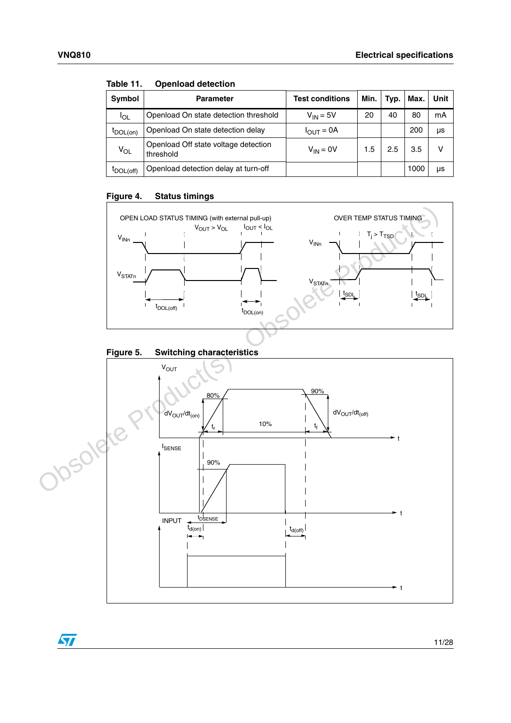$\sqrt{2}$ 

| <b>Symbol</b>   | <b>Parameter</b>                                  | <b>Test conditions</b> | Min. | Typ. | Max. | Unit |  |  |  |
|-----------------|---------------------------------------------------|------------------------|------|------|------|------|--|--|--|
| <sup>I</sup> OL | Openload On state detection threshold             | $V_{IN} = 5V$          | 20   | 40   | 80   | mA   |  |  |  |
| $I_{DOL(0n)}$   | Openload On state detection delay                 | $I_{OUT} = 0A$         |      |      | 200  | μs   |  |  |  |
| $V_{OL}$        | Openload Off state voltage detection<br>threshold | $V_{IN} = 0V$          | 1.5  | 2.5  | 3.5  | v    |  |  |  |
| IDOL(off)       | Openload detection delay at turn-off              |                        |      |      | 1000 | μs   |  |  |  |

<span id="page-10-0"></span>Table 11. **Openload detection** 

#### <span id="page-10-1"></span>**Figure 4. Status timings**



<span id="page-10-2"></span>

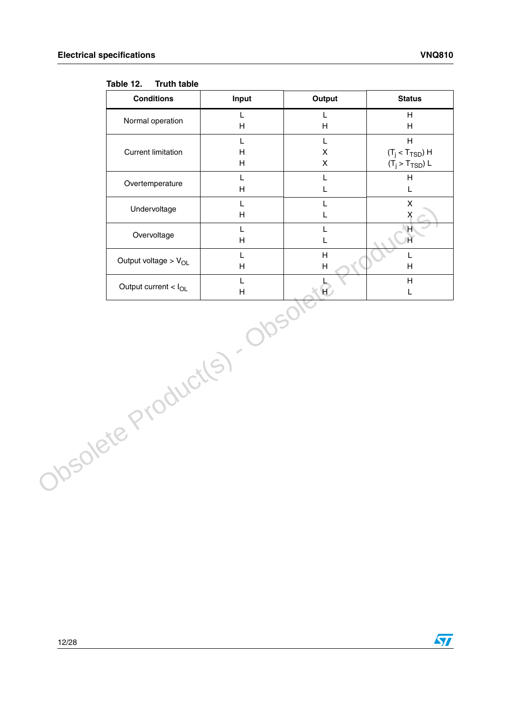#### <span id="page-11-0"></span>Table 12. **Truth table**

| <b>Conditions</b>           | Input                                                                                         | Output                                            | <b>Status</b>                                                                 |
|-----------------------------|-----------------------------------------------------------------------------------------------|---------------------------------------------------|-------------------------------------------------------------------------------|
| Normal operation            | $\mathsf L$<br>$\mathsf{H}% _{\mathbb{R}}^{1}\left( \mathbb{R}^{2}\right)$                    | L<br>H                                            | H<br>H                                                                        |
| <b>Current limitation</b>   | L<br>$\boldsymbol{\mathsf{H}}$<br>$\mathsf{H}% _{\mathbb{R}}^{1}\left( \mathbb{R}^{2}\right)$ | $\mathsf L$<br>$\pmb{\mathsf{X}}$<br>$\mathsf{X}$ | $\overline{H}$<br>$(T_j < T_{\text{TSD}})$ H<br>$(T_{\rm j} > T_{\rm TSD})$ L |
| Overtemperature             | L<br>H                                                                                        | L<br>L                                            | H<br>L                                                                        |
| Undervoltage                | L<br>$\mathsf H$                                                                              | L<br>L                                            | $\pmb{\times}$<br>X                                                           |
| Overvoltage                 | L<br>$\boldsymbol{\mathsf{H}}$                                                                | L<br>L                                            | H<br>$\overline{\mathsf{H}}$                                                  |
| Output voltage > $V_{OL}$   | L<br>H                                                                                        | H<br>H                                            | L<br>H                                                                        |
| Output current $< I_{OL}$   | L<br>H                                                                                        | KÐ                                                | H<br>L                                                                        |
| Obsolete Product(s). Obsole |                                                                                               |                                                   |                                                                               |

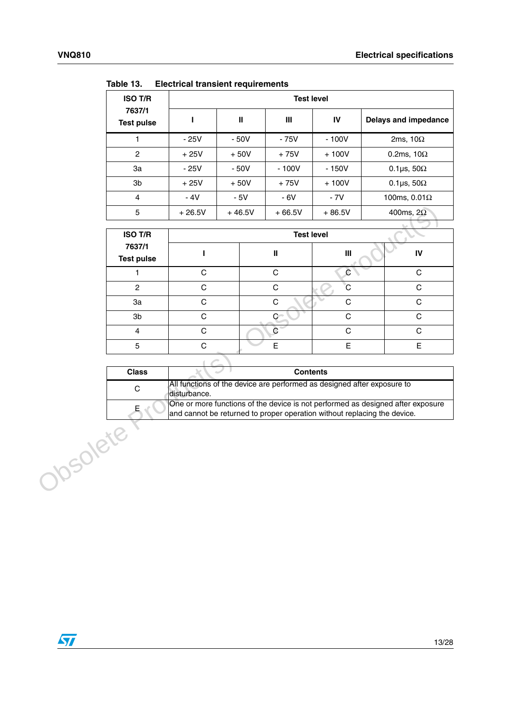| <b>ISO T/R</b>              |          |              | <b>Test level</b> |          |                          |
|-----------------------------|----------|--------------|-------------------|----------|--------------------------|
| 7637/1<br><b>Test pulse</b> |          | $\mathbf{I}$ | Ш                 | IV       | Delays and impedance     |
|                             | $-25V$   | $-50V$       | $-75V$            | $-100V$  | 2ms, $10\Omega$          |
| 2                           | $+25V$   | $+50V$       | $+75V$            | $+100V$  | 0.2ms, $10\Omega$        |
| За                          | $-25V$   | $-50V$       | $-100V$           | $-150V$  | 0.1 $\mu$ s, 50 $\Omega$ |
| 3b                          | $+25V$   | $+50V$       | $+75V$            | $+100V$  | 0.1 $\mu$ s, 50 $\Omega$ |
| $\overline{4}$              | - 4V     | $-5V$        | - 6V              | $-7V$    | 100ms, $0.01\Omega$      |
| 5                           | $+26.5V$ | $+46.5V$     | $+66.5V$          | $+86.5V$ | 400ms, $2\Omega$         |
|                             |          |              |                   |          |                          |

<span id="page-12-0"></span>Table 13. **Table 13. Electrical transient requirements** 

|          | 5                           | $+26.5V$     | $+46.5V$ | $+66.5V$          | $+86.5V$                                                                 | 400ms, $2\Omega$                                                                |
|----------|-----------------------------|--------------|----------|-------------------|--------------------------------------------------------------------------|---------------------------------------------------------------------------------|
|          | <b>ISO T/R</b>              |              |          | <b>Test level</b> |                                                                          |                                                                                 |
|          | 7637/1<br><b>Test pulse</b> | ı            |          | $\pmb{\parallel}$ | $\mathbf{III}$                                                           | IV                                                                              |
|          | 1                           | $\mathsf{C}$ |          | $\mathsf{C}$      | $\mathsf{C}$                                                             | $\mathsf{C}$                                                                    |
|          | $\overline{2}$              | $\mathsf C$  |          | $\mathsf C$       | C                                                                        | $\mathbf C$                                                                     |
|          | 3a                          | C            |          | $\mathsf C$       | $\mathsf C$                                                              | $\mathbf C$                                                                     |
|          | 3b                          | $\mathsf C$  |          | $\mathbf{C}$      | $\mathsf C$                                                              | $\mathbf C$                                                                     |
|          | $\overline{4}$              | $\mathsf{C}$ |          | $\mathbf C$       | $\mathsf{C}$                                                             | $\mathsf{C}$                                                                    |
|          | 5                           | $\mathsf C$  |          | E                 | E                                                                        | E.                                                                              |
|          |                             |              |          |                   |                                                                          |                                                                                 |
|          | <b>Class</b>                |              |          | <b>Contents</b>   |                                                                          |                                                                                 |
|          | C                           | disturbance. |          |                   | All functions of the device are performed as designed after exposure to  |                                                                                 |
|          | E.                          |              |          |                   | and cannot be returned to proper operation without replacing the device. | One or more functions of the device is not performed as designed after exposure |
| Josolete |                             |              |          |                   |                                                                          |                                                                                 |

| <b>Class</b> | <b>Contents</b>                                                                                                                                             |
|--------------|-------------------------------------------------------------------------------------------------------------------------------------------------------------|
|              | All functions of the device are performed as designed after exposure to<br>disturbance.                                                                     |
| E.           | One or more functions of the device is not performed as designed after exposure<br>and cannot be returned to proper operation without replacing the device. |

 $\sqrt{2}$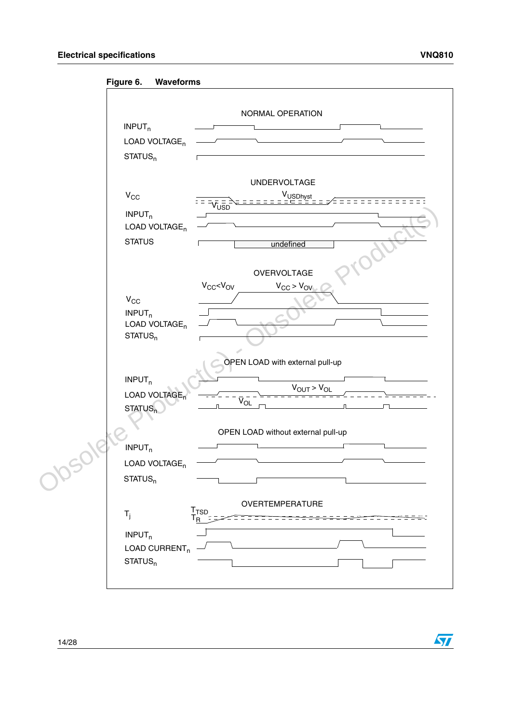57

<span id="page-13-0"></span>**Figure 6. Waveforms**

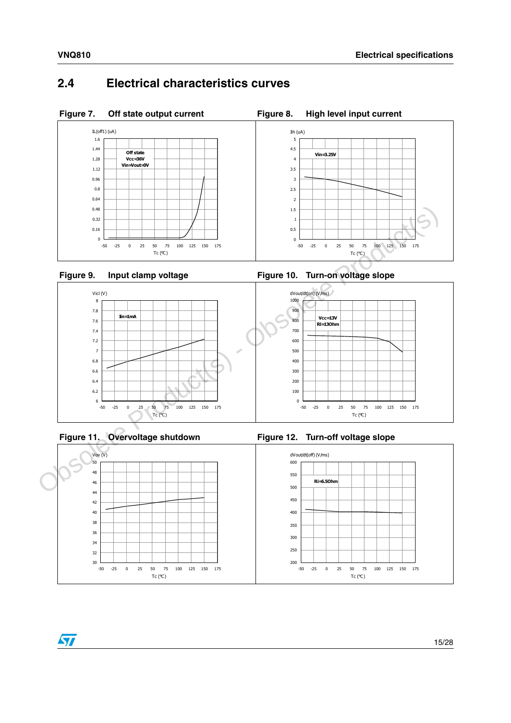### <span id="page-14-0"></span>**2.4 Electrical characteristics curves**

<span id="page-14-1"></span>

<span id="page-14-3"></span>



<span id="page-14-5"></span>



<span id="page-14-6"></span>

<span id="page-14-4"></span><span id="page-14-2"></span>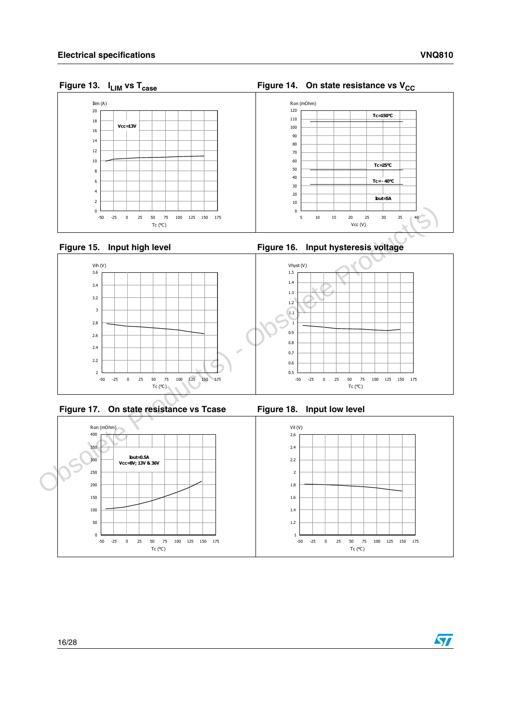### <span id="page-15-0"></span>Figure 13. I<sub>LIM</sub> vs T<sub>case</sub>



<span id="page-15-2"></span>



<span id="page-15-4"></span>



<span id="page-15-5"></span>

<span id="page-15-3"></span><span id="page-15-1"></span>Figure 16. Input hysteresis voltage



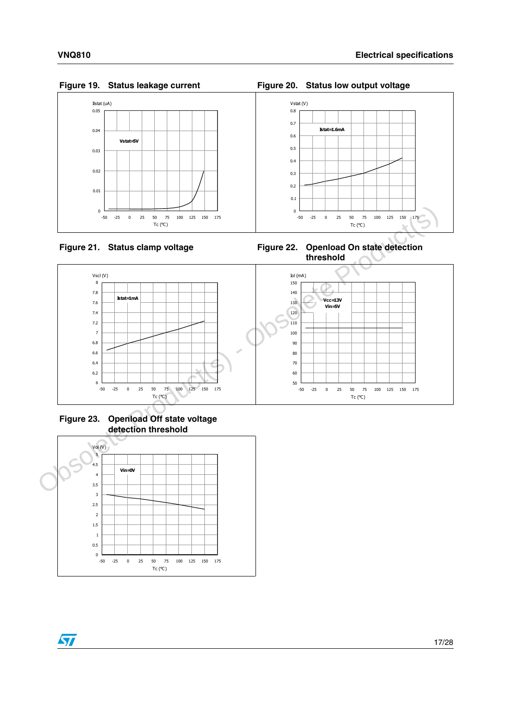#### <span id="page-16-0"></span>Figure 19. Status leakage current



#### <span id="page-16-2"></span>Figure 21. Status clamp voltage

<span id="page-16-1"></span>**Figure 20. Status low output voltage** 



<span id="page-16-3"></span>



<span id="page-16-4"></span> **Figure 23. Openload Off state voltage detection threshold**

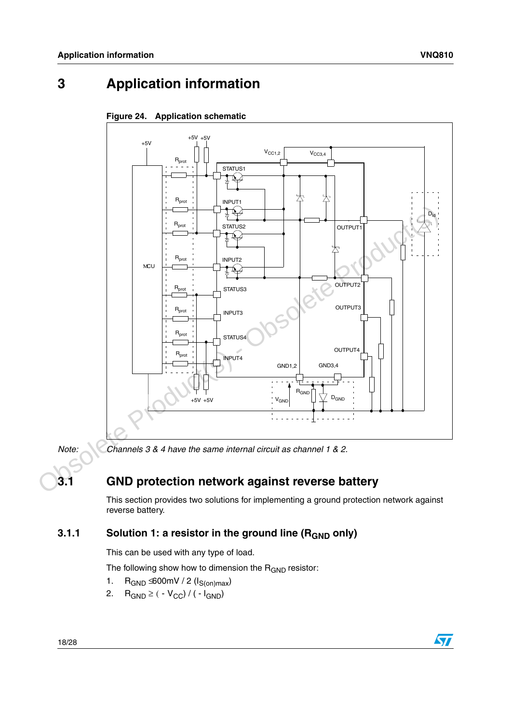## <span id="page-17-1"></span>**3 Application information**



#### <span id="page-17-0"></span>**Figure 24. Application schematic**

*Note: Channels 3 & 4 have the same internal circuit as channel 1 & 2.*

### <span id="page-17-2"></span>**3.1 GND protection network against reverse battery**

This section provides two solutions for implementing a ground protection network against reverse battery.

### <span id="page-17-3"></span>**3.1.1** Solution 1: a resistor in the ground line (R<sub>GND</sub> only)

This can be used with any type of load.

The following show how to dimension the  $R_{GND}$  resistor:

- 1.  $R_{GND} \leq 600$ mV / 2 ( $I_{S(on)max}$ )
- 2.  $R_{GND} \ge ( -V_{CC}) / (-I_{GND})$

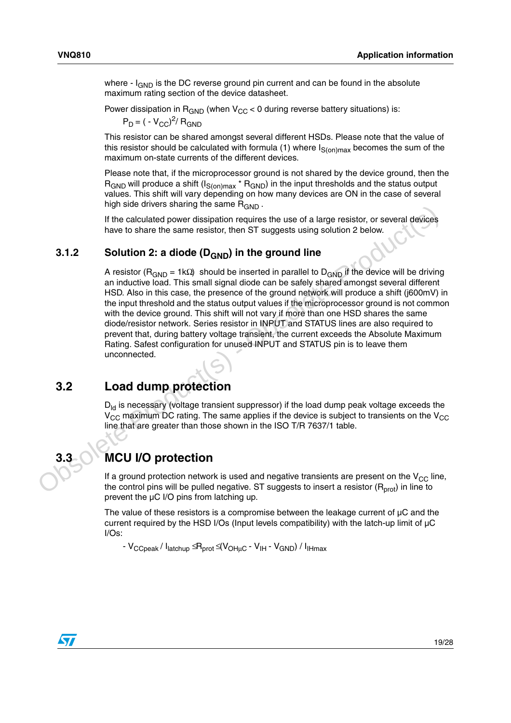where  $\cdot$  I<sub>GND</sub> is the DC reverse ground pin current and can be found in the absolute maximum rating section of the device datasheet.

Power dissipation in  $R_{GND}$  (when  $V_{CC}$  < 0 during reverse battery situations) is:

 $P_D = ( -V_{CC})^2 / R_{GND}$ 

This resistor can be shared amongst several different HSDs. Please note that the value of this resistor should be calculated with formula (1) where  $I_{S(on)max}$  becomes the sum of the maximum on-state currents of the different devices.

Please note that, if the microprocessor ground is not shared by the device ground, then the  $R_{GND}$  will produce a shift ( $I_{S(on)max}$ <sup>\*</sup>  $R_{GND}$ ) in the input thresholds and the status output values. This shift will vary depending on how many devices are ON in the case of several high side drivers sharing the same  $R_{GND}$ .

If the calculated power dissipation requires the use of a large resistor, or several devices have to share the same resistor, then ST suggests using solution 2 below.

#### <span id="page-18-0"></span>**3.1.2** Solution 2: a diode (D<sub>GND</sub>) in the ground line

A resistor ( $R_{GND}$  = 1kΩ) should be inserted in parallel to  $D_{GND}$  if the device will be driving an inductive load. This small signal diode can be safely shared amongst several different HSD. Also in this case, the presence of the ground network will produce a shift (j600mV) in the input threshold and the status output values if the microprocessor ground is not common with the device ground. This shift will not vary if more than one HSD shares the same diode/resistor network. Series resistor in INPUT and STATUS lines are also required to prevent that, during battery voltage transient, the current exceeds the Absolute Maximum Rating. Safest configuration for unused INPUT and STATUS pin is to leave them unconnected. my such that samely are are reached.<br>
3.1.2 Colution 2: a diode (D<sub>GND</sub>) in the ground line<br>
2. a diode (D<sub>GND</sub>) in the ground line<br>
A resistor (R<sub>GND</sub> = 1kG) should be inserted in parallel to  $D_{\text{GND}}$  if the device wil

### <span id="page-18-1"></span>**3.2 Load dump protection**

 $D_{\text{ld}}$  is necessary (voltage transient suppressor) if the load dump peak voltage exceeds the  $V_{\text{CC}}$  maximum DC rating. The same applies if the device is subject to transients on the V<sub>CC</sub> line that are greater than those shown in the ISO T/R 7637/1 table.

### <span id="page-18-2"></span>**3.3 MCU I/O protection**

If a ground protection network is used and negative transients are present on the  $V_{CC}$  line, the control pins will be pulled negative. ST suggests to insert a resistor  $(R<sub>prot</sub>)$  in line to prevent the µC I/O pins from latching up.

The value of these resistors is a compromise between the leakage current of  $\mu$ C and the current required by the HSD I/Os (Input levels compatibility) with the latch-up limit of µC I/Os:

- V<sub>CCpeak</sub> / I<sub>latchup</sub> ≤ R<sub>prot</sub> ≤ V<sub>OHuC</sub> - V<sub>IH</sub> - V<sub>GND</sub>) / I<sub>IHmax</sub>

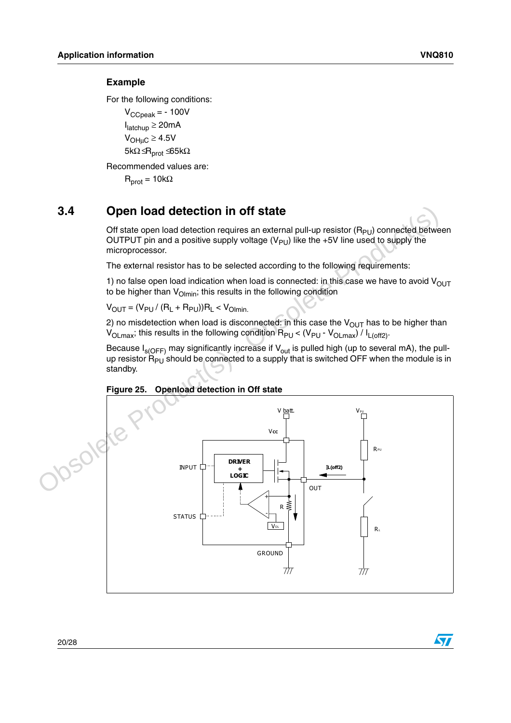$\bm{\varpi}$ 

#### **Example**

For the following conditions:

 $V_{\text{CCpeak}} = -100V$ Ilatchup ≥ 20mA  $V_{OHuC} \geq 4.5V$ 5kΩ $\leq R_{prot} \leq 65k\Omega$ 

Recommended values are:

 $R_{prot} = 10k\Omega$ 

### <span id="page-19-0"></span>**3.4 Open load detection in off state**

Off state open load detection requires an external pull-up resistor  $(R_{PI})$  connected between OUTPUT pin and a positive supply voltage  $(V_{PI})$  like the +5V line used to supply the microprocessor.

The external resistor has to be selected according to the following requirements:

1) no false open load indication when load is connected: in this case we have to avoid  $V_{\text{OUT}}$ to be higher than  $V_{\text{O}}$ <sub>lmin</sub>; this results in the following condition

 $V_{OUT} = (V_{PU} / (R_L + R_{PU}))R_L < V_{O/min}$ 

2) no misdetection when load is disconnected: in this case the  $V_{\text{OUT}}$  has to be higher than  $V_{OLmax}$ ; this results in the following condition  $R_{PU}$  <  $(V_{PU} - V_{OLmax}) / I_{L(off2)}$ .

Because  $I_{s(OFF)}$  may significantly increase if  $V_{out}$  is pulled high (up to several mA), the pullup resistor  $R_{PU}$  should be connected to a supply that is switched OFF when the module is in standby.



#### <span id="page-19-1"></span>**Figure 25. Openload detection in Off state**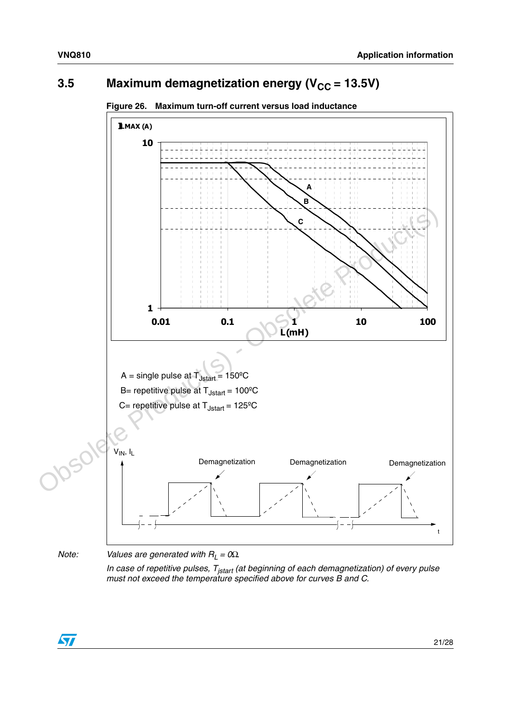### <span id="page-20-0"></span>**3.5** Maximum demagnetization energy (V<sub>CC</sub> = 13.5V)



*must not exceed the temperature specified above for curves B and C.*

<span id="page-20-1"></span>**Figure 26. Maximum turn-off current versus load inductance**

ST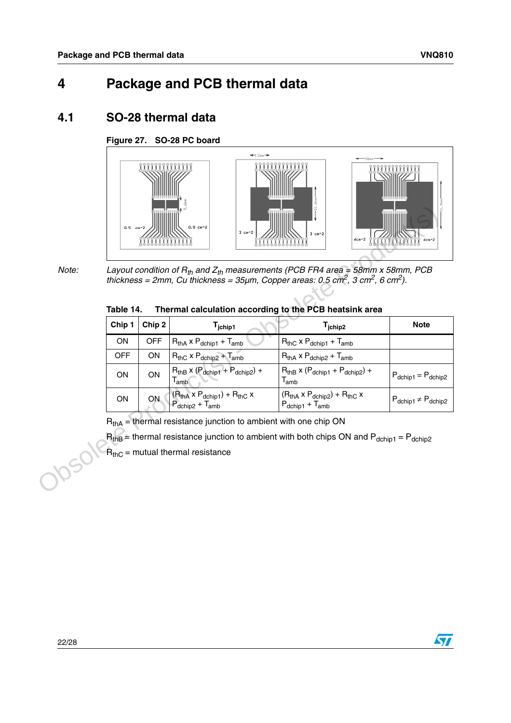### <span id="page-21-0"></span>**4 Package and PCB thermal data**

### <span id="page-21-1"></span>**4.1 SO-28 thermal data**

### <span id="page-21-3"></span>**Figure 27. SO-28 PC board**



*Note: Layout condition of Rth and Zth measurements (PCB FR4 area = 58mm x 58mm, PCB thickness = 2mm, Cu thickness = 35µm, Copper areas: 0.5 cm2, 3 cm2, 6 cm2).*

<span id="page-21-2"></span>

| Table 14. | Thermal calculation according to the PCB heatsink area |  |
|-----------|--------------------------------------------------------|--|
|           |                                                        |  |

| Note: | Table 14.  |                   | Thermal calculation according to the PCB heatsink area              | Layout condition of $R_{th}$ and $Z_{th}$ measurements (PCB FR4 area = 58mm x 58mm, PCB<br>thickness = 2mm, Cu thickness = $35\mu$ m, Copper areas: 0.5 cm <sup>2</sup> , 3 cm <sup>2</sup> , 6 cm <sup>2</sup> ). |                                            |
|-------|------------|-------------------|---------------------------------------------------------------------|--------------------------------------------------------------------------------------------------------------------------------------------------------------------------------------------------------------------|--------------------------------------------|
|       | Chip 1     | Chip <sub>2</sub> | $T_{\rm jchip1}$                                                    | T <sub>jchip2</sub>                                                                                                                                                                                                | <b>Note</b>                                |
|       | <b>ON</b>  | <b>OFF</b>        | $R_{thA}$ x $P_{dchip1}$ + $T_{amb}$                                | $R_{thC}$ x $P_{dchip1}$ + $T_{amb}$                                                                                                                                                                               |                                            |
|       | <b>OFF</b> | <b>ON</b>         | $R_{thC}$ x $P_{dchip2}$ + $T_{amb}$                                | $R_{thA}$ x $P_{dchip2}$ + $T_{amb}$                                                                                                                                                                               |                                            |
|       | <b>ON</b>  | ON                | $RthB$ x ( $Pdchip1 + Pdchip2$ ) +<br>$T_{amb}$                     | $R_{thB}$ x ( $P_{dchip1}$ + $P_{dchip2}$ ) +<br>$\mathsf{T}_{\mathsf{amb}}$                                                                                                                                       | $P_{\text{dchip1}} = P_{\text{dchip2}}$    |
|       | <b>ON</b>  | <b>ON</b>         | $(RthA × Pdchip1) + RthC ×$<br>$P_{\text{dchip2}} + T_{\text{amb}}$ | $(RthA × Pdchip2) + RthC ×$<br>$P_{dchip1} + T_{amb}$                                                                                                                                                              | $P_{\text{dchip1}} \neq P_{\text{dchip2}}$ |
|       |            |                   | $RthA$ = thermal resistance junction to ambient with one chip ON    |                                                                                                                                                                                                                    |                                            |
|       |            |                   |                                                                     | $RthB$ = thermal resistance junction to ambient with both chips ON and $Pdchip1 = Pdchip2$                                                                                                                         |                                            |
|       |            |                   | $R_{thC}$ = mutual thermal resistance                               |                                                                                                                                                                                                                    |                                            |
|       |            |                   |                                                                     |                                                                                                                                                                                                                    |                                            |



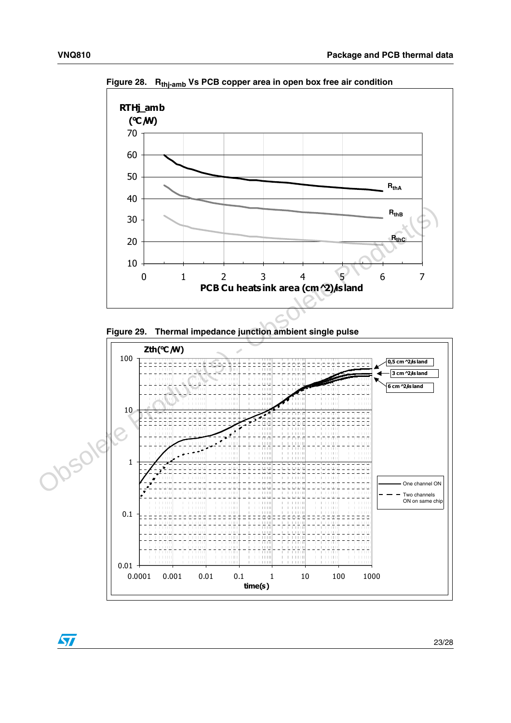

<span id="page-22-0"></span>Figure 28. R<sub>thi-amb</sub> Vs PCB copper area in open box free air condition



<span id="page-22-1"></span>**Figure 29. Thermal impedance junction ambient single pulse** 

23/28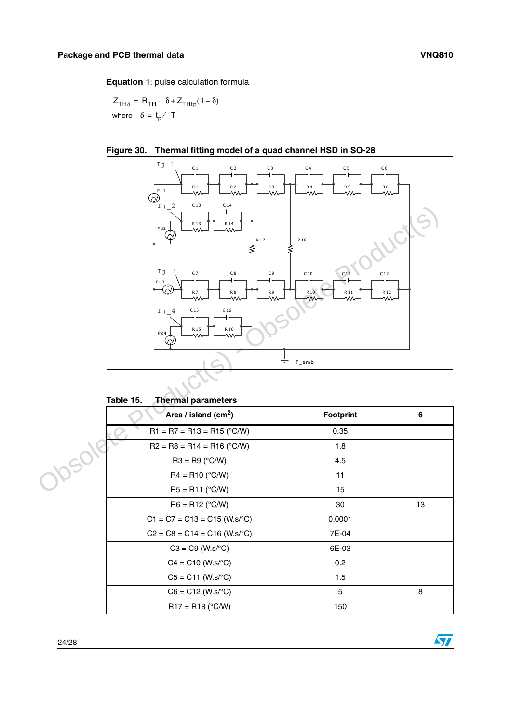$\sqrt{2}$ 

**Equation 1**: pulse calculation formula

 $Z_{TH\delta} = R_{TH} \cdot \delta + Z_{THtp} (1 - \delta)$ where  $\delta = \mathfrak{t}_{\mathsf{p}} /$  T



<span id="page-23-1"></span>

| Area / island (cm <sup>2</sup> ) | <b>Footprint</b> | 6  |
|----------------------------------|------------------|----|
| $R1 = R7 = R13 = R15$ (°C/W)     | 0.35             |    |
| $R2 = R8 = R14 = R16 (°C/W)$     | 1.8              |    |
| $R3 = R9 (°C/W)$                 | 4.5              |    |
| $R4 = R10 (°C/W)$                | 11               |    |
| $R5 = R11 (°C/W)$                | 15               |    |
| $R6 = R12$ (°C/W)                | 30               | 13 |
| $C1 = C7 = C13 = C15$ (W.s/°C)   | 0.0001           |    |
| $C2 = C8 = C14 = C16$ (W.s/°C)   | 7E-04            |    |
| $C3 = C9$ (W.s/°C)               | 6E-03            |    |
| $C4 = C10 (W.s^{\circ}C)$        | 0.2              |    |
| $C5 = C11$ (W.s/°C)              | 1.5              |    |
| $C6 = C12$ (W.s/°C)              | 5                | 8  |
| $R17 = R18$ (°C/W)               | 150              |    |

<span id="page-23-0"></span>Table 15. **Thermal parameters**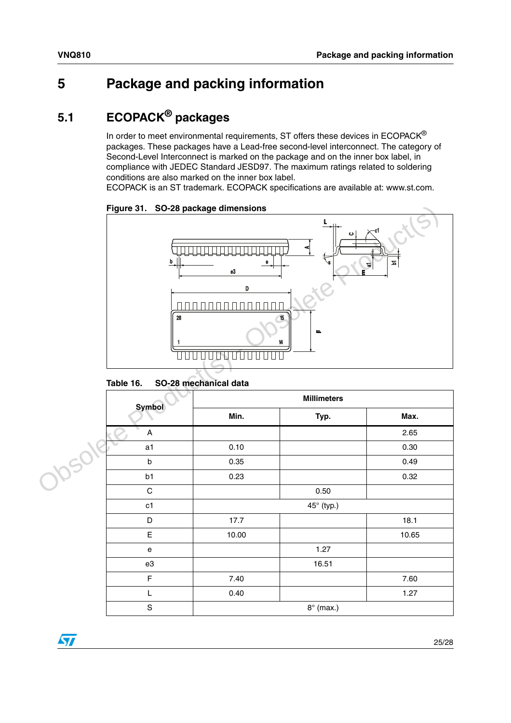### <span id="page-24-0"></span>**5 Package and packing information**

### <span id="page-24-1"></span>**5.1 ECOPACK® packages**

In order to meet environmental requirements, ST offers these devices in  $ECOPACK^{\circledast}$ packages. These packages have a Lead-free second-level interconnect. The category of Second-Level Interconnect is marked on the package and on the inner box label, in compliance with JEDEC Standard JESD97. The maximum ratings related to soldering conditions are also marked on the inner box label.

ECOPACK is an ST trademark. ECOPACK specifications are available at: www.st.com.



<span id="page-24-3"></span>**Figure 31. SO-28 package dimensions**

<span id="page-24-2"></span>

| Table 16. | SO-28 mechanical data |  |
|-----------|-----------------------|--|
|           |                       |  |

| <b>Symbol</b>             | <b>Millimeters</b> |                  |       |  |
|---------------------------|--------------------|------------------|-------|--|
|                           | Min.               | Typ.             | Max.  |  |
| $\boldsymbol{\mathsf{A}}$ |                    |                  | 2.65  |  |
| a1                        | 0.10               |                  | 0.30  |  |
| b                         | 0.35               |                  | 0.49  |  |
| b1                        | 0.23               |                  | 0.32  |  |
| ${\bf C}$                 |                    | 0.50             |       |  |
| c1                        |                    | 45° (typ.)       |       |  |
| D                         | 17.7               |                  | 18.1  |  |
| E                         | 10.00              |                  | 10.65 |  |
| ${\bf e}$                 |                    | 1.27             |       |  |
| e3                        |                    | 16.51            |       |  |
| $\mathsf F$               | 7.40               |                  | 7.60  |  |
| L                         | 0.40               |                  | 1.27  |  |
| $\mathbf S$               |                    | $8^\circ$ (max.) |       |  |



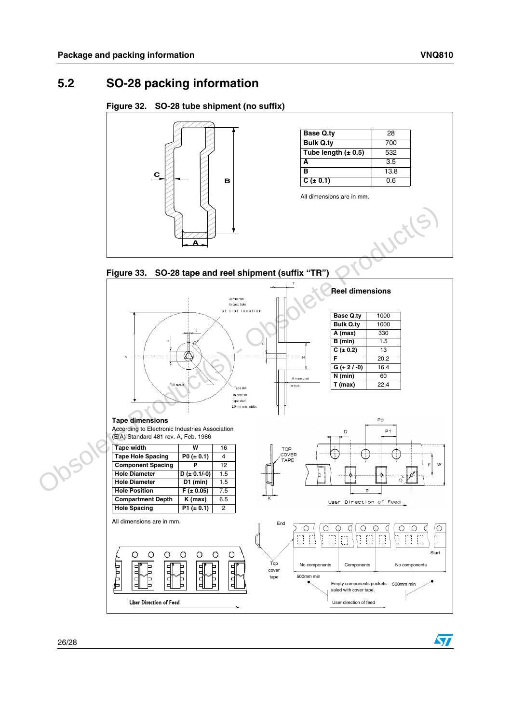57

### <span id="page-25-0"></span>**5.2 SO-28 packing information**

#### <span id="page-25-1"></span>**Figure 32. SO-28 tube shipment (no suffix)**



#### <span id="page-25-2"></span>**Figure 33. SO-28 tape and reel shipment (suffix "TR")**

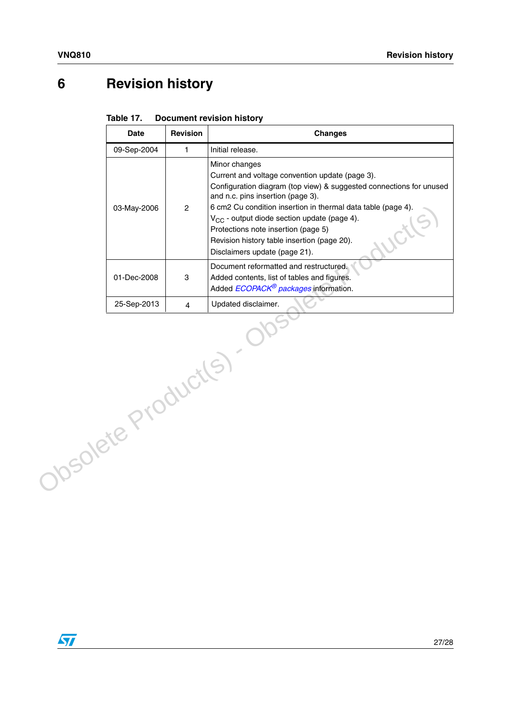## <span id="page-26-0"></span>**6 Revision history**

<span id="page-26-1"></span>

| Table 17. | <b>Document revision history</b> |  |
|-----------|----------------------------------|--|
|-----------|----------------------------------|--|

|                   | <b>Date</b> | <b>Revision</b> | <b>Changes</b>                                                                                                                                                                                                                                                                                                                                                                                                                 |  |  |
|-------------------|-------------|-----------------|--------------------------------------------------------------------------------------------------------------------------------------------------------------------------------------------------------------------------------------------------------------------------------------------------------------------------------------------------------------------------------------------------------------------------------|--|--|
|                   | 09-Sep-2004 | $\mathbf{1}$    | Initial release.                                                                                                                                                                                                                                                                                                                                                                                                               |  |  |
|                   | 03-May-2006 | $\mathbf{2}$    | Minor changes<br>Current and voltage convention update (page 3).<br>Configuration diagram (top view) & suggested connections for unused<br>and n.c. pins insertion (page 3).<br>6 cm2 Cu condition insertion in thermal data table (page 4).<br>V <sub>CC</sub> - output diode section update (page 4).<br>Protections note insertion (page 5)<br>Revision history table insertion (page 20).<br>Disclaimers update (page 21). |  |  |
|                   | 01-Dec-2008 | 3               | Document reformatted and restructured.<br>Added contents, list of tables and figures.<br>Added ECOPACK <sup>®</sup> packages information.                                                                                                                                                                                                                                                                                      |  |  |
|                   | 25-Sep-2013 | $\overline{4}$  | Updated disclaimer.                                                                                                                                                                                                                                                                                                                                                                                                            |  |  |
| Josolete Productl |             |                 |                                                                                                                                                                                                                                                                                                                                                                                                                                |  |  |

 $\sqrt{2}$